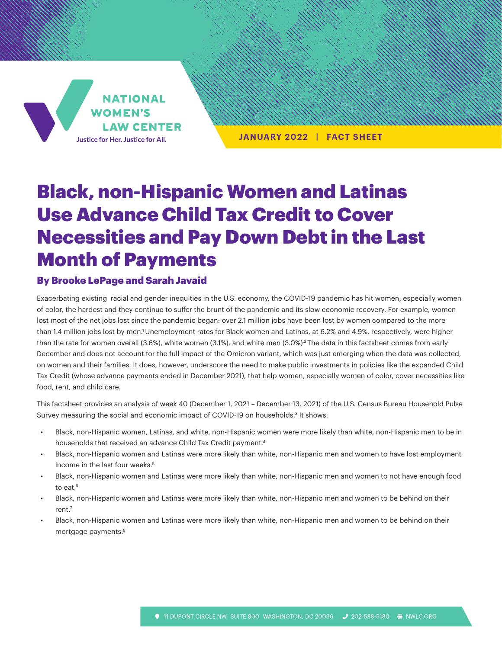**NATIONAL WOMEN'S LAW CENTER** Justice for Her. Justice for All.

**JANUARY 2022 | FACT SHEET**

# Black, non-Hispanic Women and Latinas Use Advance Child Tax Credit to Cover Necessities and Pay Down Debt in the Last Month of Payments

### By Brooke LePage and Sarah Javaid

Exacerbating existing racial and gender inequities in the U.S. economy, the COVID-19 pandemic has hit women, especially women of color, the hardest and they continue to suffer the brunt of the pandemic and its slow economic recovery. For example, women lost most of the net jobs lost since the pandemic began: over 2.1 million jobs have been lost by women compared to the more than 1.4 million jobs lost by men.<sup>1</sup> Unemployment rates for Black women and Latinas, at 6.2% and 4.9%, respectively, were higher than the rate for women overall (3.6%), white women (3.1%), and white men (3.0%)<sup>2</sup>The data in this factsheet comes from early December and does not account for the full impact of the Omicron variant, which was just emerging when the data was collected, on women and their families. It does, however, underscore the need to make public investments in policies like the expanded Child Tax Credit (whose advance payments ended in December 2021), that help women, especially women of color, cover necessities like food, rent, and child care.

This factsheet provides an analysis of week 40 (December 1, 2021 – December 13, 2021) of the U.S. Census Bureau Household Pulse Survey measuring the social and economic impact of COVID-19 on households.<sup>3</sup> It shows:

- Black, non-Hispanic women, Latinas, and white, non-Hispanic women were more likely than white, non-Hispanic men to be in households that received an advance Child Tax Credit payment.<sup>4</sup>
- Black, non-Hispanic women and Latinas were more likely than white, non-Hispanic men and women to have lost employment income in the last four weeks.<sup>5</sup>
- Black, non-Hispanic women and Latinas were more likely than white, non-Hispanic men and women to not have enough food to eat.<sup>6</sup>
- Black, non-Hispanic women and Latinas were more likely than white, non-Hispanic men and women to be behind on their rent.7
- Black, non-Hispanic women and Latinas were more likely than white, non-Hispanic men and women to be behind on their mortgage payments.<sup>8</sup>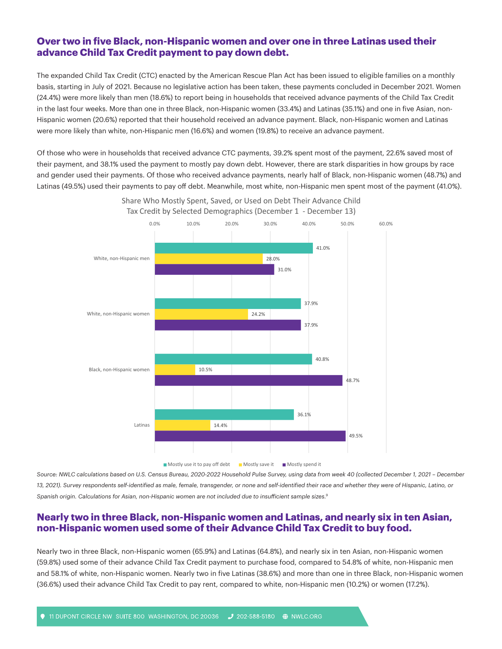#### **Over two in five Black, non-Hispanic women and over one in three Latinas used their advance Child Tax Credit payment to pay down debt.**

The expanded Child Tax Credit (CTC) enacted by the American Rescue Plan Act has been issued to eligible families on a monthly basis, starting in July of 2021. Because no legislative action has been taken, these payments concluded in December 2021. Women (24.4%) were more likely than men (18.6%) to report being in households that received advance payments of the Child Tax Credit in the last four weeks. More than one in three Black, non-Hispanic women (33.4%) and Latinas (35.1%) and one in five Asian, non-Hispanic women (20.6%) reported that their household received an advance payment. Black, non-Hispanic women and Latinas were more likely than white, non-Hispanic men (16.6%) and women (19.8%) to receive an advance payment.

Of those who were in households that received advance CTC payments, 39.2% spent most of the payment, 22.6% saved most of their payment, and 38.1% used the payment to mostly pay down debt. However, there are stark disparities in how groups by race and gender used their payments. Of those who received advance payments, nearly half of Black, non-Hispanic women (48.7%) and Latinas (49.5%) used their payments to pay off debt. Meanwhile, most white, non-Hispanic men spent most of the payment (41.0%).



Share Who Mostly Spent, Saved, or Used on Debt Their Advance Child Tax Credit by Selected Demographics (December 1 - December 13)

Source: NWLC calculations based on U.S. Census Bureau, 2020-2022 Household Pulse Survey, using data from week 40 (collected December 1, 2021 - December 13, 2021). Survey respondents self-identified as male, female, transgender, or none and self-identified their race and whether they were of Hispanic, Latino, or

Mostly use it to pay off debt Mostly save it Mostly spend it

#### *Spanish origin. Calculations for Asian, non-Hispanic women are not included due to insufficient sample sizes.9*

#### **Nearly two in three Black, non-Hispanic women and Latinas, and nearly six in ten Asian, non-Hispanic women used some of their Advance Child Tax Credit to buy food.**

Nearly two in three Black, non-Hispanic women (65.9%) and Latinas (64.8%), and nearly six in ten Asian, non-Hispanic women (59.8%) used some of their advance Child Tax Credit payment to purchase food, compared to 54.8% of white, non-Hispanic men and 58.1% of white, non-Hispanic women. Nearly two in five Latinas (38.6%) and more than one in three Black, non-Hispanic women (36.6%) used their advance Child Tax Credit to pay rent, compared to white, non-Hispanic men (10.2%) or women (17.2%).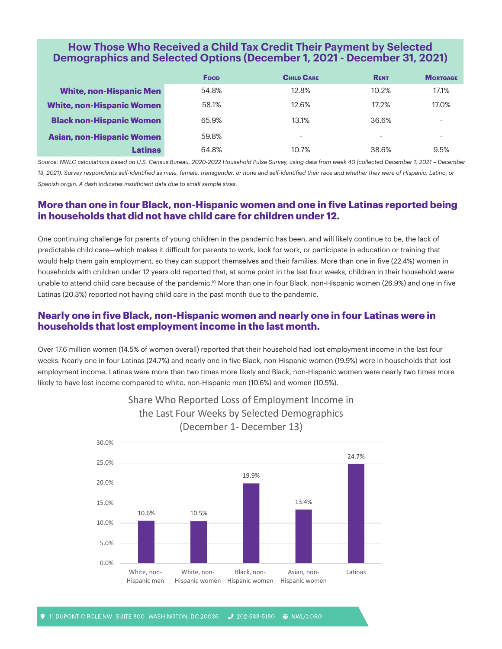#### **How Those Who Received a Child Tax Credit Their Payment by Selected Demographics and Selected Options (December 1, 2021 - December 31, 2021)**

|                                  | <b>Foop</b> | <b>CHILD CARE</b> | <b>RENT</b>              | <b>MORTGAGE</b> |
|----------------------------------|-------------|-------------------|--------------------------|-----------------|
| <b>White, non-Hispanic Men</b>   | 54.8%       | 12.8%             | 10.2%                    | 17.1%           |
| <b>White, non-Hispanic Women</b> | 58.1%       | 12.6%             | 17.2%                    | 17.0%           |
| <b>Black non-Hispanic Women</b>  | 65.9%       | 13.1%             | 36.6%                    | ٠               |
| <b>Asian, non-Hispanic Women</b> | 59.8%       | ٠                 | $\overline{\phantom{a}}$ | ٠               |
| Latinas                          | 64.8%       | 10.7%             | 38.6%                    | 9.5%            |

Source: NWLC calculations based on U.S. Census Bureau, 2020-2022 Household Pulse Survey, using data from week 40 (collected December 1, 2021 - December *13, 2021). Survey respondents self-identified as male, female, transgender, or none and self-identified their race and whether they were of Hispanic, Latino, or Spanish origin. A dash indicates insufficient data due to small sample sizes.*

#### **More than one in four Black, non-Hispanic women and one in five Latinas reported being in households that did not have child care for children under 12.**

One continuing challenge for parents of young children in the pandemic has been, and will likely continue to be, the lack of predictable child care—which makes it difficult for parents to work, look for work, or participate in education or training that would help them gain employment, so they can support themselves and their families. More than one in five (22.4%) women in households with children under 12 years old reported that, at some point in the last four weeks, children in their household were unable to attend child care because of the pandemic.<sup>10</sup> More than one in four Black, non-Hispanic women (26.9%) and one in five Latinas (20.3%) reported not having child care in the past month due to the pandemic.

#### **Nearly one in five Black, non-Hispanic women and nearly one in four Latinas were in households that lost employment income in the last month.**

Over 17.6 million women (14.5% of women overall) reported that their household had lost employment income in the last four weeks. Nearly one in four Latinas (24.7%) and nearly one in five Black, non-Hispanic women (19.9%) were in households that lost employment income. Latinas were more than two times more likely and Black, non-Hispanic women were nearly two times more likely to have lost income compared to white, non-Hispanic men (10.6%) and women (10.5%).



Share Who Reported Loss of Employment Income in the Last Four Weeks by Selected Demographics (December 1- December 13)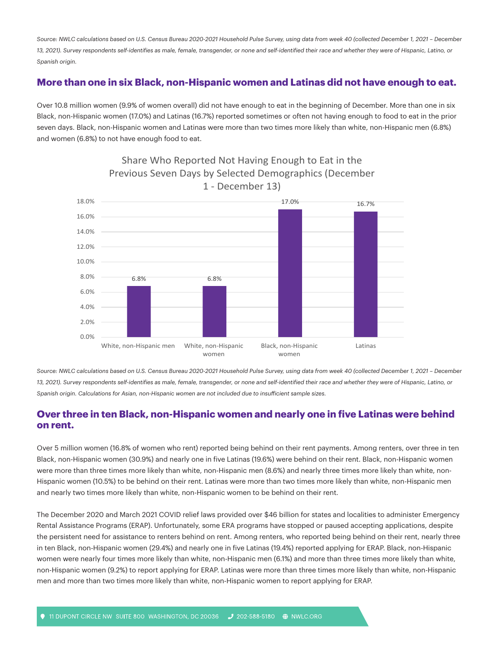Source: NWLC calculations based on U.S. Census Bureau 2020-2021 Household Pulse Survey, using data from week 40 (collected December 1, 2021 - December *13, 2021). Survey respondents self-identifies as male, female, transgender, or none and self-identified their race and whether they were of Hispanic, Latino, or Spanish origin.*

#### **More than one in six Black, non-Hispanic women and Latinas did not have enough to eat.**

Over 10.8 million women (9.9% of women overall) did not have enough to eat in the beginning of December. More than one in six Black, non-Hispanic women (17.0%) and Latinas (16.7%) reported sometimes or often not having enough to food to eat in the prior seven days. Black, non-Hispanic women and Latinas were more than two times more likely than white, non-Hispanic men (6.8%) and women (6.8%) to not have enough food to eat.



Share Who Reported Not Having Enough to Eat in the Previous Seven Days by Selected Demographics (December 1 - December 13)

Source: NWLC calculations based on U.S. Census Bureau 2020-2021 Household Pulse Survey, using data from week 40 (collected December 1, 2021 - December *13, 2021). Survey respondents self-identifies as male, female, transgender, or none and self-identified their race and whether they were of Hispanic, Latino, or Spanish origin. Calculations for Asian, non-Hispanic women are not included due to insufficient sample sizes.*

#### **Over three in ten Black, non-Hispanic women and nearly one in five Latinas were behind on rent.**

Over 5 million women (16.8% of women who rent) reported being behind on their rent payments. Among renters, over three in ten Black, non-Hispanic women (30.9%) and nearly one in five Latinas (19.6%) were behind on their rent. Black, non-Hispanic women were more than three times more likely than white, non-Hispanic men (8.6%) and nearly three times more likely than white, non-Hispanic women (10.5%) to be behind on their rent. Latinas were more than two times more likely than white, non-Hispanic men and nearly two times more likely than white, non-Hispanic women to be behind on their rent.

The December 2020 and March 2021 COVID relief laws provided over \$46 billion for states and localities to administer Emergency Rental Assistance Programs (ERAP). Unfortunately, some ERA programs have stopped or paused accepting applications, despite the persistent need for assistance to renters behind on rent. Among renters, who reported being behind on their rent, nearly three in ten Black, non-Hispanic women (29.4%) and nearly one in five Latinas (19.4%) reported applying for ERAP. Black, non-Hispanic women were nearly four times more likely than white, non-Hispanic men (6.1%) and more than three times more likely than white, non-Hispanic women (9.2%) to report applying for ERAP. Latinas were more than three times more likely than white, non-Hispanic men and more than two times more likely than white, non-Hispanic women to report applying for ERAP.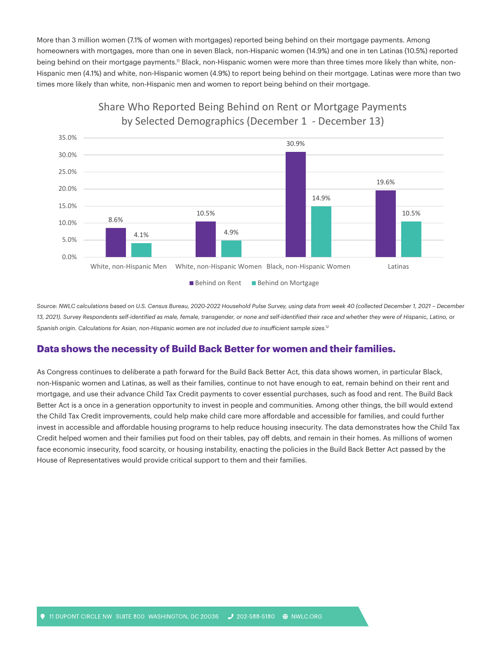More than 3 million women (7.1% of women with mortgages) reported being behind on their mortgage payments. Among homeowners with mortgages, more than one in seven Black, non-Hispanic women (14.9%) and one in ten Latinas (10.5%) reported being behind on their mortgage payments.<sup>11</sup> Black, non-Hispanic women were more than three times more likely than white, non-Hispanic men (4.1%) and white, non-Hispanic women (4.9%) to report being behind on their mortgage. Latinas were more than two times more likely than white, non-Hispanic men and women to report being behind on their mortgage.



## Share Who Reported Being Behind on Rent or Mortgage Payments by Selected Demographics (December 1 - December 13)

Source: NWLC calculations based on U.S. Census Bureau, 2020-2022 Household Pulse Survey, using data from week 40 (collected December 1, 2021 - December 13, 2021). Survey Respondents self-identified as male, female, transgender, or none and self-identified their race and whether they were of Hispanic, Latino, or *Spanish origin. Calculations for Asian, non-Hispanic women are not included due to insufficient sample sizes.12*

#### **Data shows the necessity of Build Back Better for women and their families.**

As Congress continues to deliberate a path forward for the Build Back Better Act, this data shows women, in particular Black, non-Hispanic women and Latinas, as well as their families, continue to not have enough to eat, remain behind on their rent and mortgage, and use their advance Child Tax Credit payments to cover essential purchases, such as food and rent. The Build Back Better Act is a once in a generation opportunity to invest in people and communities. Among other things, the bill would extend the Child Tax Credit improvements, could help make child care more affordable and accessible for families, and could further invest in accessible and affordable housing programs to help reduce housing insecurity. The data demonstrates how the Child Tax Credit helped women and their families put food on their tables, pay off debts, and remain in their homes. As millions of women face economic insecurity, food scarcity, or housing instability, enacting the policies in the Build Back Better Act passed by the House of Representatives would provide critical support to them and their families.